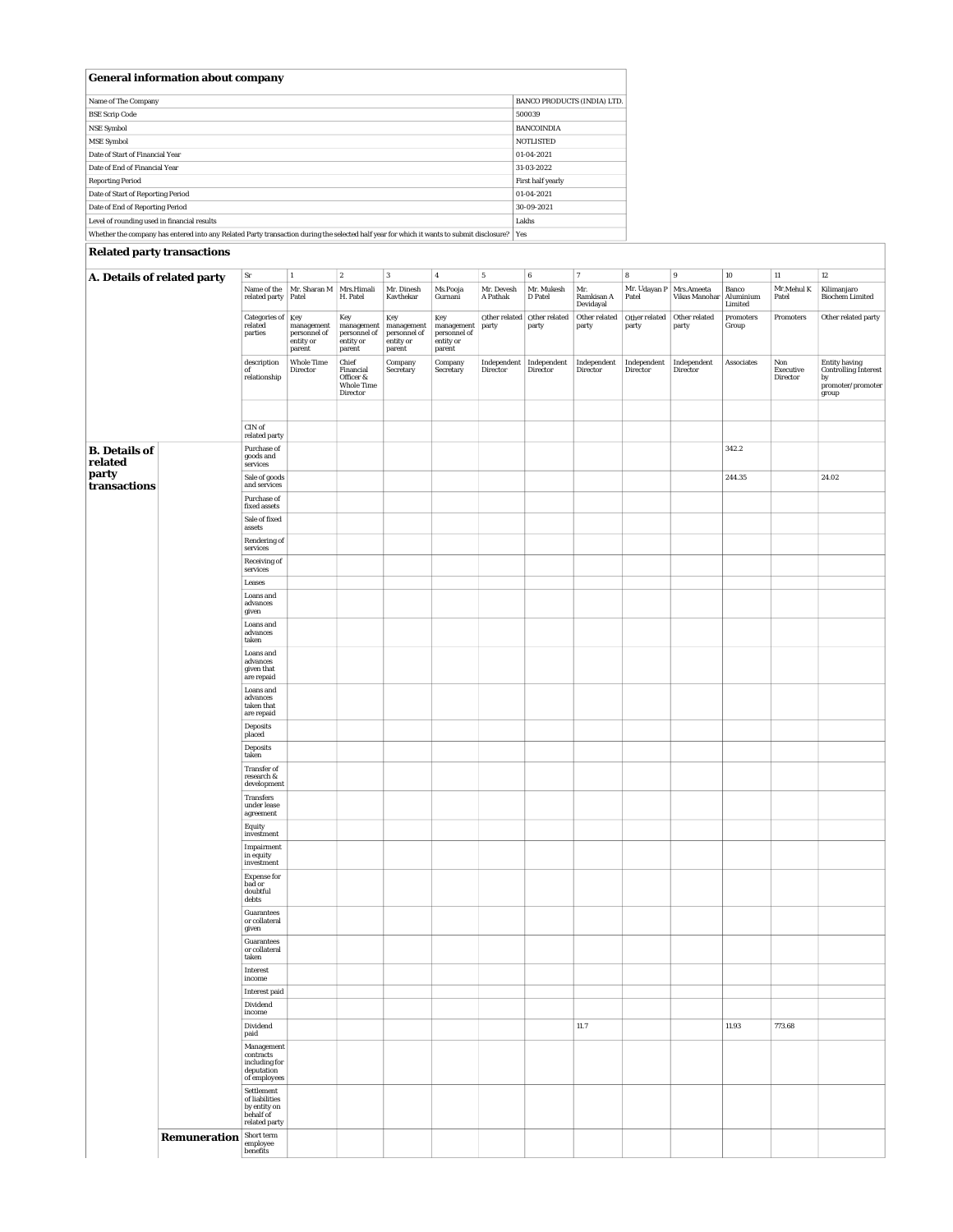| <b>General information about company</b>                                                                                                      |                                    |
|-----------------------------------------------------------------------------------------------------------------------------------------------|------------------------------------|
| Name of The Company                                                                                                                           | <b>BANCO PRODUCTS (INDIA) LTD.</b> |
| <b>BSE Scrip Code</b>                                                                                                                         | 500039                             |
| <b>NSE Symbol</b>                                                                                                                             | <b>BANCOINDIA</b>                  |
| <b>MSE Symbol</b>                                                                                                                             | <b>NOTLISTED</b>                   |
| Date of Start of Financial Year                                                                                                               | 01-04-2021                         |
| Date of End of Financial Year                                                                                                                 | 31-03-2022                         |
| <b>Reporting Period</b>                                                                                                                       | First half yearly                  |
| Date of Start of Reporting Period                                                                                                             | 01-04-2021                         |
| Date of End of Reporting Period                                                                                                               | 30-09-2021                         |
| Level of rounding used in financial results                                                                                                   | Lakhs                              |
| Whether the company has entered into any Related Party transaction during the selected half year for which it wants to submit disclosure? Ves |                                    |

Whether the company has entered into any Related Party transaction during the selected half year for which it wants to submit disclosure? Yes

## **Related party transactions**

| ${\bf Sr}$<br>$\boldsymbol{6}$<br>$\overline{7}$<br>$\bf8$<br>9<br>$10\,$<br>$11\,$<br>$12\,$<br>$\mathbf{2}$<br>$\overline{\mathbf{3}}$<br>${\bf 5}$<br>1<br>$\boldsymbol{4}$<br>A. Details of related party |              |                                                           |                                     |                                                         |                                     |                                                   |                        |                                      |                                |                         |                                    |                                      |                                                                                    |                                                                                               |
|---------------------------------------------------------------------------------------------------------------------------------------------------------------------------------------------------------------|--------------|-----------------------------------------------------------|-------------------------------------|---------------------------------------------------------|-------------------------------------|---------------------------------------------------|------------------------|--------------------------------------|--------------------------------|-------------------------|------------------------------------|--------------------------------------|------------------------------------------------------------------------------------|-----------------------------------------------------------------------------------------------|
| of                                                                                                                                                                                                            |              | Name of the<br>related party Patel                        | Mr. Sharan M                        | Mrs.Himali<br>H. Patel                                  | Mr. Dinesh<br>Kavthekar             | Ms.Pooja<br>Gurnani                               | Mr. Devesh<br>A Pathak | Mr. Mukesh<br>D Patel                | Mr.<br>Ramkisan A<br>Devidayal | Mr. Udayan P<br>Patel   | Mrs.Ameeta<br><b>Vikas Manohar</b> | Banco<br>Aluminium                   | Mr.Mehul K<br>Patel                                                                | Kilimanjaro<br><b>Biochem Limited</b>                                                         |
|                                                                                                                                                                                                               |              | <b>Categories of</b> Key<br>related                       | management                          | Key<br>management                                       | Key<br>management                   | Key                                               | party                  | Other related Other related<br>party | Other related<br>party         | Other related<br>party  | Other related<br>party             | Limited<br><b>Promoters</b><br>Group | $\begin{minipage}{.4\linewidth} \textbf{Promoters} \end{minipage} \vspace{-0.1in}$ | Other related party                                                                           |
|                                                                                                                                                                                                               |              | parties                                                   | personnel of<br>entity or<br>parent | personnel of<br>entity or<br>parent                     | personnel of<br>entity or<br>parent | management<br>personnel of<br>entity or<br>parent |                        |                                      |                                |                         |                                    |                                      |                                                                                    |                                                                                               |
|                                                                                                                                                                                                               |              |                                                           | <b>Whole Time</b>                   | Chief                                                   |                                     |                                                   |                        | Independent Independent              | Independent                    |                         |                                    |                                      |                                                                                    |                                                                                               |
|                                                                                                                                                                                                               |              | description<br>relationship                               | Director                            | Financial<br>Officer &<br><b>Whole Time</b><br>Director | Company<br>Secretary                | Company<br><b>Secretary</b>                       | Director               | Director                             | <b>Director</b>                | Independent<br>Director | Independent<br><b>Director</b>     | <b>Associates</b>                    | Non<br>Executive<br><b>Director</b>                                                | Entity having<br>Controlling Interest<br>by<br>$\mathbf{promoter}/\mathbf{promoter}$<br>group |
|                                                                                                                                                                                                               |              |                                                           |                                     |                                                         |                                     |                                                   |                        |                                      |                                |                         |                                    |                                      |                                                                                    |                                                                                               |
|                                                                                                                                                                                                               |              | $CIN$ of<br>related party                                 |                                     |                                                         |                                     |                                                   |                        |                                      |                                |                         |                                    |                                      |                                                                                    |                                                                                               |
| <b>B.</b> Details of<br>related<br>party<br>transactions                                                                                                                                                      |              | Purchase of<br>goods and<br>services                      |                                     |                                                         |                                     |                                                   |                        |                                      |                                |                         |                                    | 342.2                                |                                                                                    |                                                                                               |
|                                                                                                                                                                                                               |              | Sale of goods<br>and services                             |                                     |                                                         |                                     |                                                   |                        |                                      |                                |                         |                                    | 244.35                               |                                                                                    | 24.02                                                                                         |
|                                                                                                                                                                                                               |              | Purchase of<br>fixed assets                               |                                     |                                                         |                                     |                                                   |                        |                                      |                                |                         |                                    |                                      |                                                                                    |                                                                                               |
|                                                                                                                                                                                                               |              | Sale of fixed<br>assets                                   |                                     |                                                         |                                     |                                                   |                        |                                      |                                |                         |                                    |                                      |                                                                                    |                                                                                               |
|                                                                                                                                                                                                               |              | <b>Rendering of</b><br>services<br><b>Receiving of</b>    |                                     |                                                         |                                     |                                                   |                        |                                      |                                |                         |                                    |                                      |                                                                                    |                                                                                               |
|                                                                                                                                                                                                               |              | services<br>Leases                                        |                                     |                                                         |                                     |                                                   |                        |                                      |                                |                         |                                    |                                      |                                                                                    |                                                                                               |
|                                                                                                                                                                                                               |              | <b>Loans</b> and<br>advances                              |                                     |                                                         |                                     |                                                   |                        |                                      |                                |                         |                                    |                                      |                                                                                    |                                                                                               |
|                                                                                                                                                                                                               |              | given<br><b>Loans</b> and                                 |                                     |                                                         |                                     |                                                   |                        |                                      |                                |                         |                                    |                                      |                                                                                    |                                                                                               |
|                                                                                                                                                                                                               |              | advances<br>taken<br><b>Loans</b> and                     |                                     |                                                         |                                     |                                                   |                        |                                      |                                |                         |                                    |                                      |                                                                                    |                                                                                               |
|                                                                                                                                                                                                               |              | advances<br>given that<br>are repaid                      |                                     |                                                         |                                     |                                                   |                        |                                      |                                |                         |                                    |                                      |                                                                                    |                                                                                               |
|                                                                                                                                                                                                               |              | <b>Loans</b> and<br>advances<br>taken that<br>are repaid  |                                     |                                                         |                                     |                                                   |                        |                                      |                                |                         |                                    |                                      |                                                                                    |                                                                                               |
|                                                                                                                                                                                                               |              | <b>Deposits</b><br>placed                                 |                                     |                                                         |                                     |                                                   |                        |                                      |                                |                         |                                    |                                      |                                                                                    |                                                                                               |
|                                                                                                                                                                                                               |              | <b>Deposits</b><br>taken                                  |                                     |                                                         |                                     |                                                   |                        |                                      |                                |                         |                                    |                                      |                                                                                    |                                                                                               |
|                                                                                                                                                                                                               |              | <b>Transfer of</b><br>research &<br>development           |                                     |                                                         |                                     |                                                   |                        |                                      |                                |                         |                                    |                                      |                                                                                    |                                                                                               |
|                                                                                                                                                                                                               |              | <b>Transfers</b><br>under lease<br>agreement              |                                     |                                                         |                                     |                                                   |                        |                                      |                                |                         |                                    |                                      |                                                                                    |                                                                                               |
|                                                                                                                                                                                                               |              | Equity<br>investment                                      |                                     |                                                         |                                     |                                                   |                        |                                      |                                |                         |                                    |                                      |                                                                                    |                                                                                               |
|                                                                                                                                                                                                               |              | Impairment<br>in equity<br>investment                     |                                     |                                                         |                                     |                                                   |                        |                                      |                                |                         |                                    |                                      |                                                                                    |                                                                                               |
|                                                                                                                                                                                                               |              | <b>Expense for</b><br>bad or<br>doubtful<br>debts         |                                     |                                                         |                                     |                                                   |                        |                                      |                                |                         |                                    |                                      |                                                                                    |                                                                                               |
|                                                                                                                                                                                                               |              | <b>Guarantees</b><br>or collateral<br>given               |                                     |                                                         |                                     |                                                   |                        |                                      |                                |                         |                                    |                                      |                                                                                    |                                                                                               |
|                                                                                                                                                                                                               |              | <b>Guarantees</b><br>or collateral<br>taken               |                                     |                                                         |                                     |                                                   |                        |                                      |                                |                         |                                    |                                      |                                                                                    |                                                                                               |
|                                                                                                                                                                                                               |              | Interest<br>income                                        |                                     |                                                         |                                     |                                                   |                        |                                      |                                |                         |                                    |                                      |                                                                                    |                                                                                               |
|                                                                                                                                                                                                               |              | <b>Interest paid</b><br>Dividend                          |                                     |                                                         |                                     |                                                   |                        |                                      |                                |                         |                                    |                                      |                                                                                    |                                                                                               |
|                                                                                                                                                                                                               |              | income<br>Dividend                                        |                                     |                                                         |                                     |                                                   |                        |                                      | 11.7                           |                         |                                    | 11.93                                | 773.68                                                                             |                                                                                               |
|                                                                                                                                                                                                               |              | paid<br>Management<br>contracts                           |                                     |                                                         |                                     |                                                   |                        |                                      |                                |                         |                                    |                                      |                                                                                    |                                                                                               |
|                                                                                                                                                                                                               |              | including for<br>deputation<br>of employees               |                                     |                                                         |                                     |                                                   |                        |                                      |                                |                         |                                    |                                      |                                                                                    |                                                                                               |
|                                                                                                                                                                                                               |              | Settlement<br>of liabilities<br>by entity on<br>behalf of |                                     |                                                         |                                     |                                                   |                        |                                      |                                |                         |                                    |                                      |                                                                                    |                                                                                               |
|                                                                                                                                                                                                               | Remuneration | related party<br>Short term<br>employee<br>benefits       |                                     |                                                         |                                     |                                                   |                        |                                      |                                |                         |                                    |                                      |                                                                                    |                                                                                               |
|                                                                                                                                                                                                               |              |                                                           |                                     |                                                         |                                     |                                                   |                        |                                      |                                |                         |                                    |                                      |                                                                                    |                                                                                               |